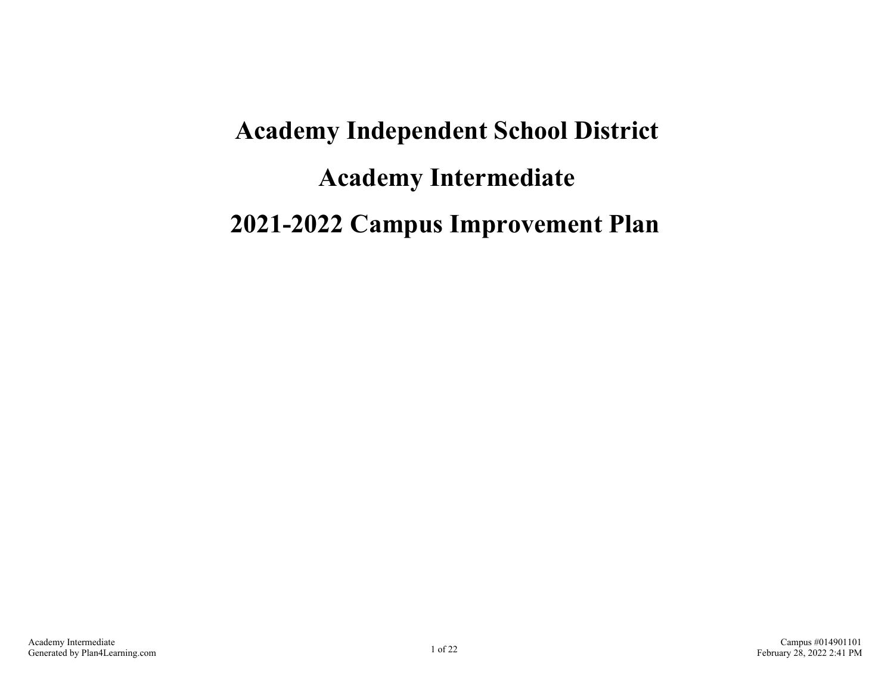# **Academy Independent School District Academy Intermediate 2021-2022 Campus Improvement Plan**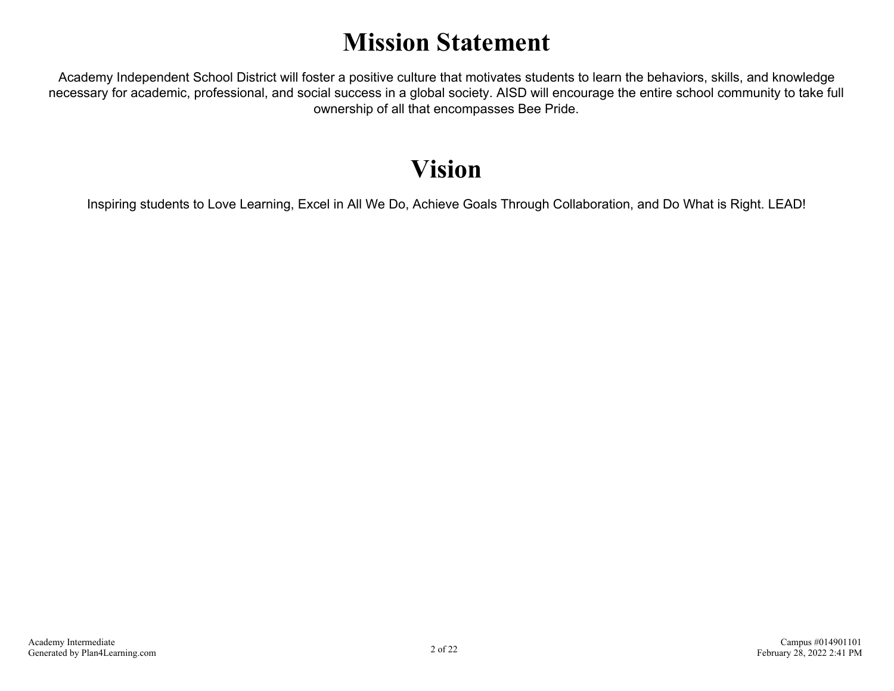# **Mission Statement**

Academy Independent School District will foster a positive culture that motivates students to learn the behaviors, skills, and knowledge necessary for academic, professional, and social success in a global society. AISD will encourage the entire school community to take full ownership of all that encompasses Bee Pride.

# **Vision**

Inspiring students to Love Learning, Excel in All We Do, Achieve Goals Through Collaboration, and Do What is Right. LEAD!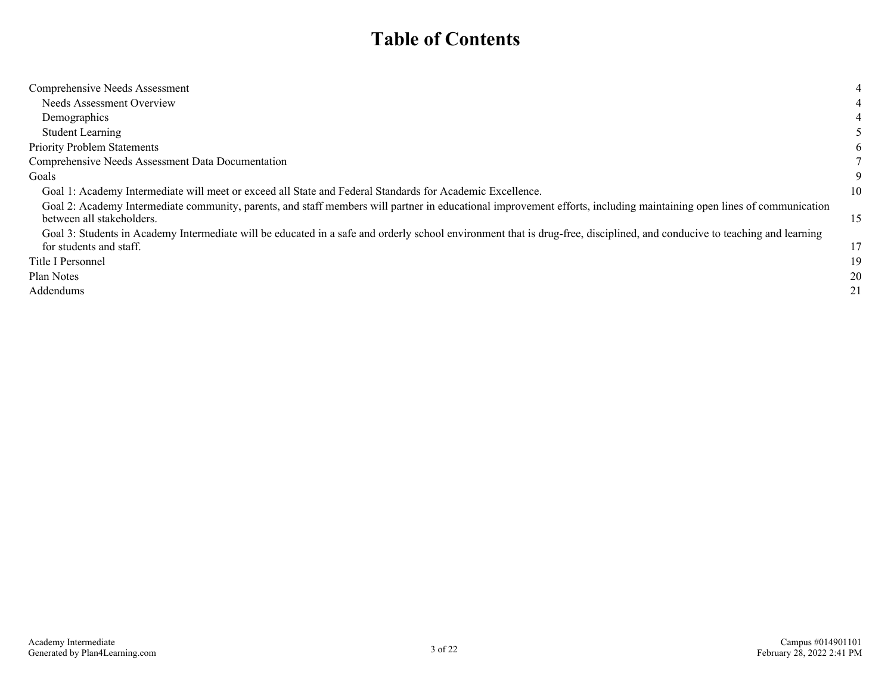### **Table of Contents**

| Comprehensive Needs Assessment                                                                                                                                                                     | 4  |
|----------------------------------------------------------------------------------------------------------------------------------------------------------------------------------------------------|----|
| Needs Assessment Overview                                                                                                                                                                          |    |
| Demographics                                                                                                                                                                                       |    |
| <b>Student Learning</b>                                                                                                                                                                            |    |
| <b>Priority Problem Statements</b>                                                                                                                                                                 | 6  |
| Comprehensive Needs Assessment Data Documentation                                                                                                                                                  |    |
| Goals                                                                                                                                                                                              | 9  |
| Goal 1: Academy Intermediate will meet or exceed all State and Federal Standards for Academic Excellence.                                                                                          | 10 |
| Goal 2: Academy Intermediate community, parents, and staff members will partner in educational improvement efforts, including maintaining open lines of communication<br>between all stakeholders. | 15 |
| Goal 3: Students in Academy Intermediate will be educated in a safe and orderly school environment that is drug-free, disciplined, and conducive to teaching and learning                          |    |
| for students and staff.                                                                                                                                                                            | 17 |
| Title I Personnel                                                                                                                                                                                  | 19 |
| Plan Notes                                                                                                                                                                                         | 20 |
| Addendums                                                                                                                                                                                          | 21 |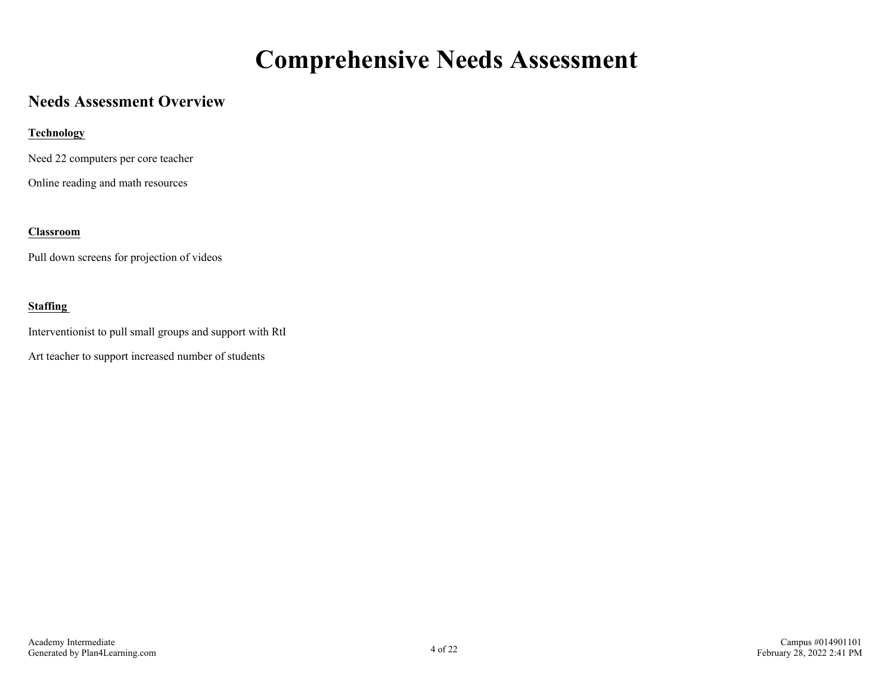### **Comprehensive Needs Assessment**

### <span id="page-3-0"></span>**Needs Assessment Overview**

#### **Technology**

Need 22 computers per core teacher

Online reading and math resources

#### **Classroom**

Pull down screens for projection of videos

#### **Staffing**

Interventionist to pull small groups and support with RtI

Art teacher to support increased number of students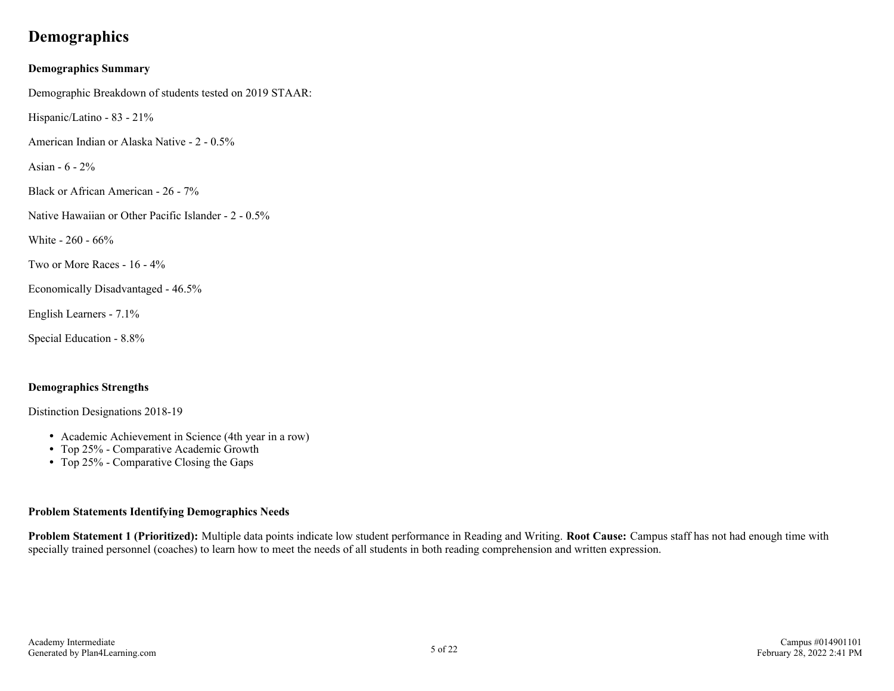### <span id="page-4-0"></span>**Demographics**

#### **Demographics Summary**

Demographic Breakdown of students tested on 2019 STAAR:

Hispanic/Latino - 83 - 21%

American Indian or Alaska Native - 2 - 0.5%

Asian - 6 - 2%

Black or African American - 26 - 7%

Native Hawaiian or Other Pacific Islander - 2 - 0.5%

White - 260 - 66%

Two or More Races - 16 - 4%

Economically Disadvantaged - 46.5%

English Learners - 7.1%

Special Education - 8.8%

#### **Demographics Strengths**

Distinction Designations 2018-19

- Academic Achievement in Science (4th year in a row)
- Top 25% Comparative Academic Growth
- Top 25% Comparative Closing the Gaps

#### **Problem Statements Identifying Demographics Needs**

**Problem Statement 1 (Prioritized):** Multiple data points indicate low student performance in Reading and Writing. **Root Cause:** Campus staff has not had enough time with specially trained personnel (coaches) to learn how to meet the needs of all students in both reading comprehension and written expression.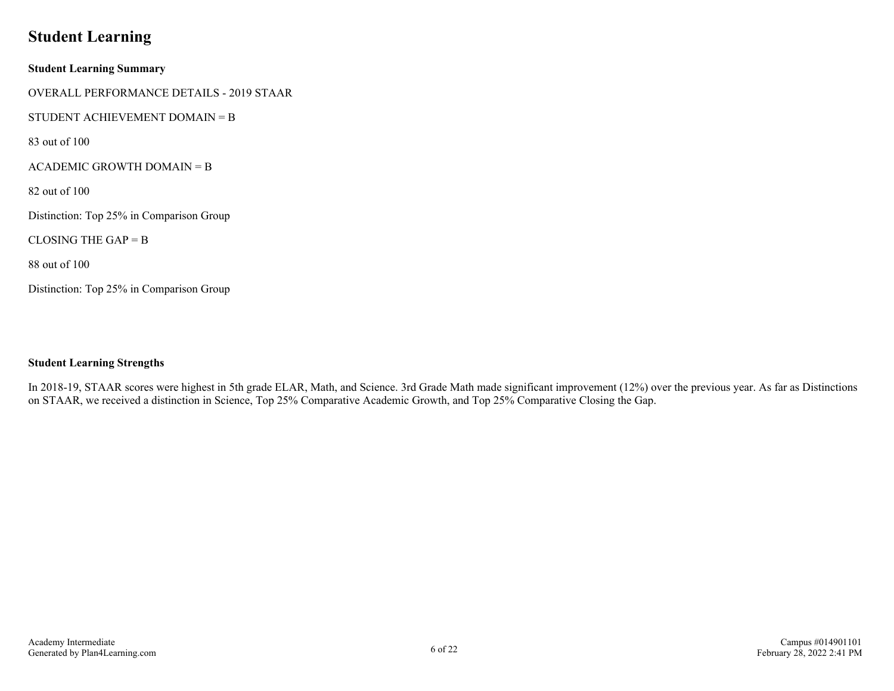### <span id="page-5-0"></span>**Student Learning**

**Student Learning Summary** OVERALL PERFORMANCE DETAILS - 2019 STAAR STUDENT ACHIEVEMENT DOMAIN = B 83 out of 100 ACADEMIC GROWTH DOMAIN = B 82 out of 100 Distinction: Top 25% in Comparison Group CLOSING THE GAP  $=$  B 88 out of 100 Distinction: Top 25% in Comparison Group

#### **Student Learning Strengths**

In 2018-19, STAAR scores were highest in 5th grade ELAR, Math, and Science. 3rd Grade Math made significant improvement (12%) over the previous year. As far as Distinctions on STAAR, we received a distinction in Science, Top 25% Comparative Academic Growth, and Top 25% Comparative Closing the Gap.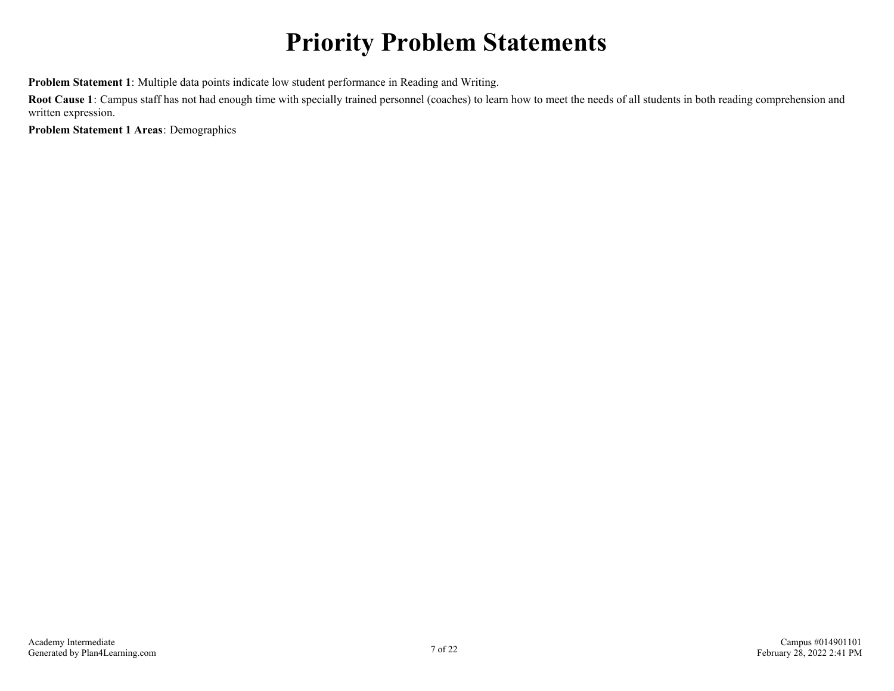# **Priority Problem Statements**

<span id="page-6-0"></span>**Problem Statement 1**: Multiple data points indicate low student performance in Reading and Writing.

**Root Cause 1**: Campus staff has not had enough time with specially trained personnel (coaches) to learn how to meet the needs of all students in both reading comprehension and written expression.

**Problem Statement 1 Areas**: Demographics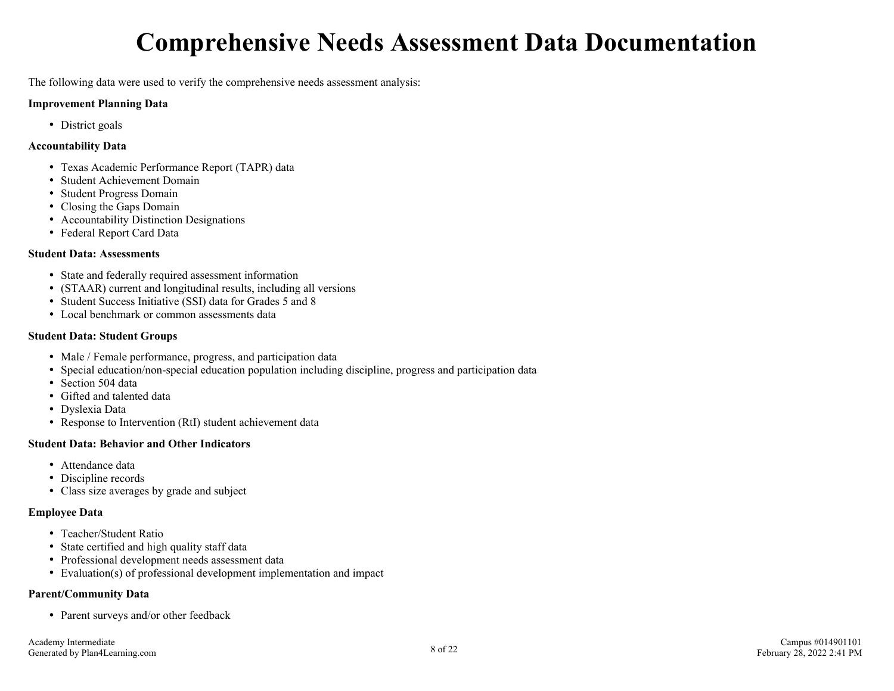# **Comprehensive Needs Assessment Data Documentation**

<span id="page-7-0"></span>The following data were used to verify the comprehensive needs assessment analysis:

#### **Improvement Planning Data**

• District goals

#### **Accountability Data**

- Texas Academic Performance Report (TAPR) data
- Student Achievement Domain
- Student Progress Domain
- Closing the Gaps Domain
- Accountability Distinction Designations
- Federal Report Card Data

#### **Student Data: Assessments**

- State and federally required assessment information
- (STAAR) current and longitudinal results, including all versions
- Student Success Initiative (SSI) data for Grades 5 and 8
- Local benchmark or common assessments data

#### **Student Data: Student Groups**

- Male / Female performance, progress, and participation data
- Special education/non-special education population including discipline, progress and participation data
- Section 504 data
- Gifted and talented data
- Dyslexia Data
- Response to Intervention (RtI) student achievement data

#### **Student Data: Behavior and Other Indicators**

- Attendance data
- Discipline records
- Class size averages by grade and subject

#### **Employee Data**

- Teacher/Student Ratio
- State certified and high quality staff data
- Professional development needs assessment data
- Evaluation(s) of professional development implementation and impact

#### **Parent/Community Data**

• Parent surveys and/or other feedback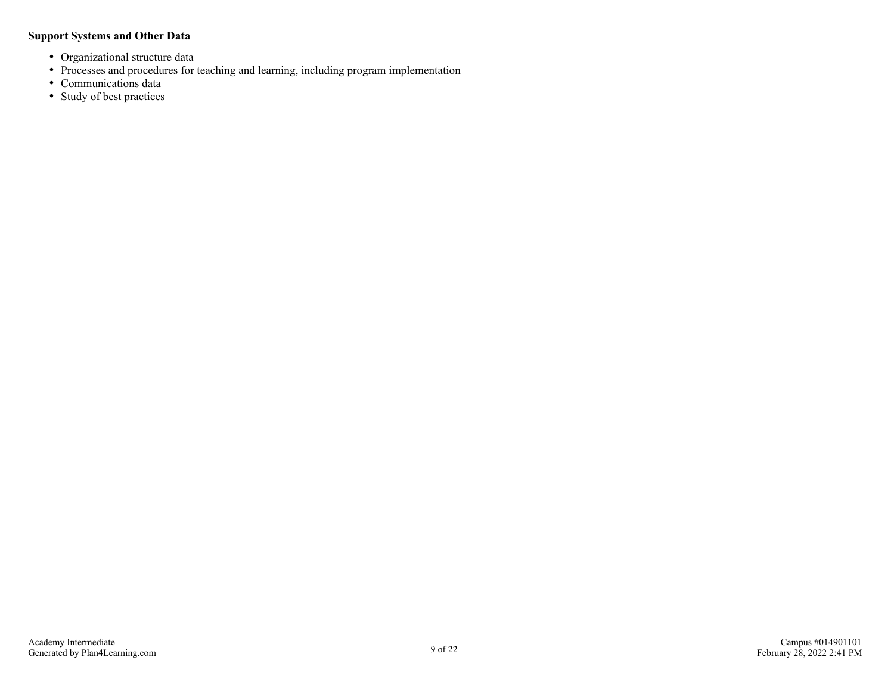#### **Support Systems and Other Data**

- Organizational structure data
- Processes and procedures for teaching and learning, including program implementation
- Communications data
- Study of best practices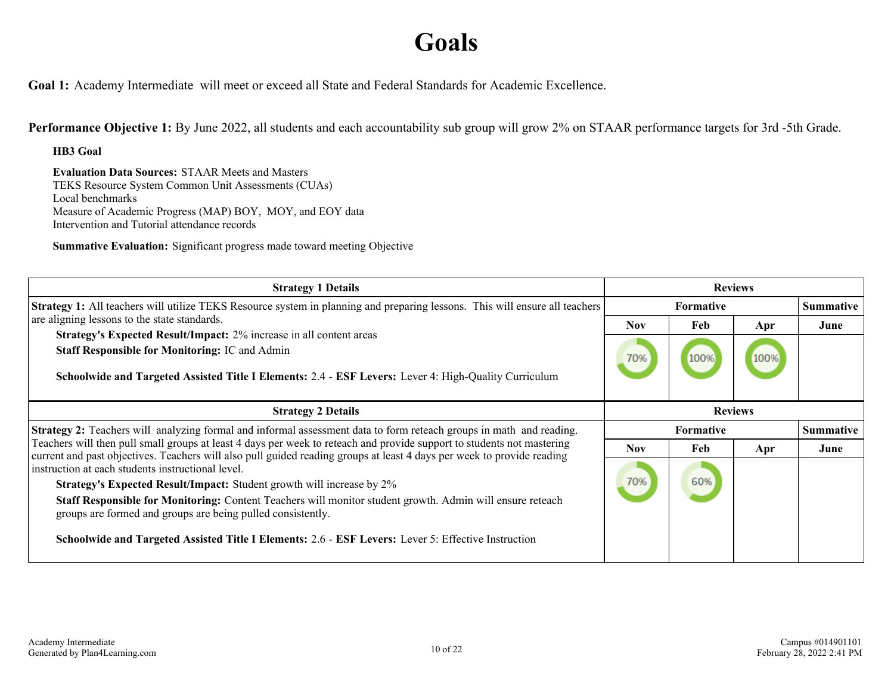### **Goals**

<span id="page-9-0"></span>**Goal 1:** Academy Intermediate will meet or exceed all State and Federal Standards for Academic Excellence.

**Performance Objective 1:** By June 2022, all students and each accountability sub group will grow 2% on STAAR performance targets for 3rd -5th Grade.

**HB3 Goal**

**Evaluation Data Sources:** STAAR Meets and Masters TEKS Resource System Common Unit Assessments (CUAs) Local benchmarks Measure of Academic Progress (MAP) BOY, MOY, and EOY data Intervention and Tutorial attendance records

**Summative Evaluation:** Significant progress made toward meeting Objective

| <b>Strategy 1 Details</b>                                                                                                                                                                                                                                                                                                                                                                                            |                  | <b>Reviews</b>   |             |                  |
|----------------------------------------------------------------------------------------------------------------------------------------------------------------------------------------------------------------------------------------------------------------------------------------------------------------------------------------------------------------------------------------------------------------------|------------------|------------------|-------------|------------------|
| <b>Strategy 1:</b> All teachers will utilize TEKS Resource system in planning and preparing lessons. This will ensure all teachers                                                                                                                                                                                                                                                                                   |                  | <b>Formative</b> |             | <b>Summative</b> |
| are aligning lessons to the state standards.<br>Strategy's Expected Result/Impact: 2% increase in all content areas<br><b>Staff Responsible for Monitoring: IC and Admin</b><br>Schoolwide and Targeted Assisted Title I Elements: 2.4 - ESF Levers: Lever 4: High-Quality Curriculum                                                                                                                                |                  | Feb<br>100%      | Apr<br>100% | June             |
| <b>Strategy 2 Details</b>                                                                                                                                                                                                                                                                                                                                                                                            |                  | <b>Reviews</b>   |             |                  |
| <b>Strategy 2:</b> Teachers will analyzing formal and informal assessment data to form reteach groups in math and reading.                                                                                                                                                                                                                                                                                           | <b>Formative</b> |                  |             | <b>Summative</b> |
| Teachers will then pull small groups at least 4 days per week to reteach and provide support to students not mastering<br>current and past objectives. Teachers will also pull guided reading groups at least 4 days per week to provide reading                                                                                                                                                                     | <b>Nov</b>       | Feb              | Apr         | June             |
| instruction at each students instructional level.<br><b>Strategy's Expected Result/Impact:</b> Student growth will increase by 2%<br>Staff Responsible for Monitoring: Content Teachers will monitor student growth. Admin will ensure reteach<br>groups are formed and groups are being pulled consistently.<br>Schoolwide and Targeted Assisted Title I Elements: 2.6 - ESF Levers: Lever 5: Effective Instruction | 70%              | 60%              |             |                  |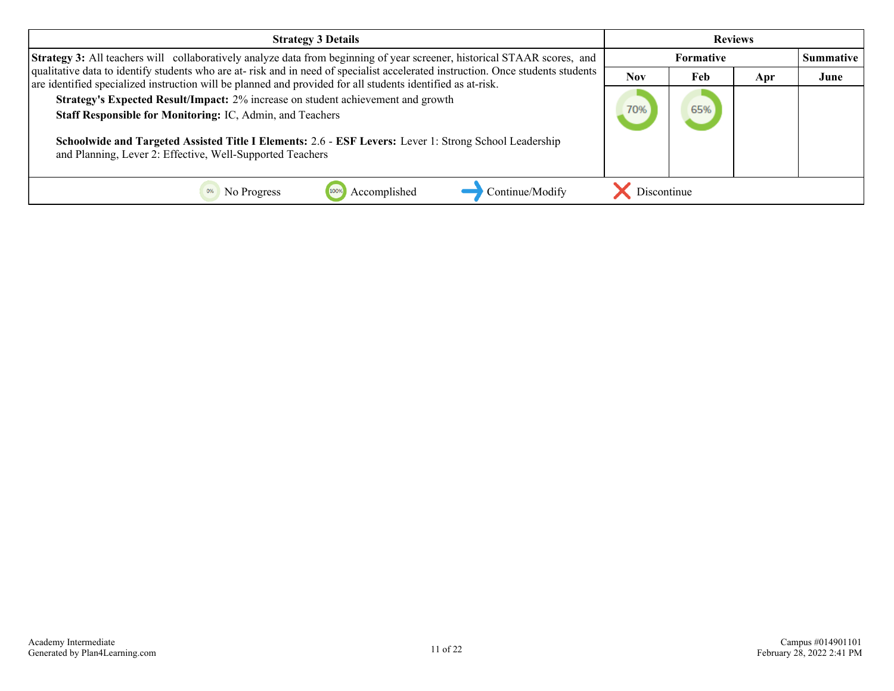| <b>Strategy 3 Details</b>                                                                                                                                                                                                                                                                                                                                                                                                           | <b>Reviews</b> |                  |     |                  |
|-------------------------------------------------------------------------------------------------------------------------------------------------------------------------------------------------------------------------------------------------------------------------------------------------------------------------------------------------------------------------------------------------------------------------------------|----------------|------------------|-----|------------------|
| Strategy 3: All teachers will collaboratively analyze data from beginning of year screener, historical STAAR scores, and                                                                                                                                                                                                                                                                                                            |                | <b>Formative</b> |     | <b>Summative</b> |
| qualitative data to identify students who are at-risk and in need of specialist accelerated instruction. Once students students                                                                                                                                                                                                                                                                                                     |                | Feb              | Apr | June             |
| are identified specialized instruction will be planned and provided for all students identified as at-risk.<br>Strategy's Expected Result/Impact: 2% increase on student achievement and growth<br>Staff Responsible for Monitoring: IC, Admin, and Teachers<br>Schoolwide and Targeted Assisted Title I Elements: 2.6 - ESF Levers: Lever 1: Strong School Leadership<br>and Planning, Lever 2: Effective, Well-Supported Teachers |                | 65%              |     |                  |
|                                                                                                                                                                                                                                                                                                                                                                                                                                     |                |                  |     |                  |
| Continue/Modify<br>Accomplished<br>No Progress                                                                                                                                                                                                                                                                                                                                                                                      | Discontinue    |                  |     |                  |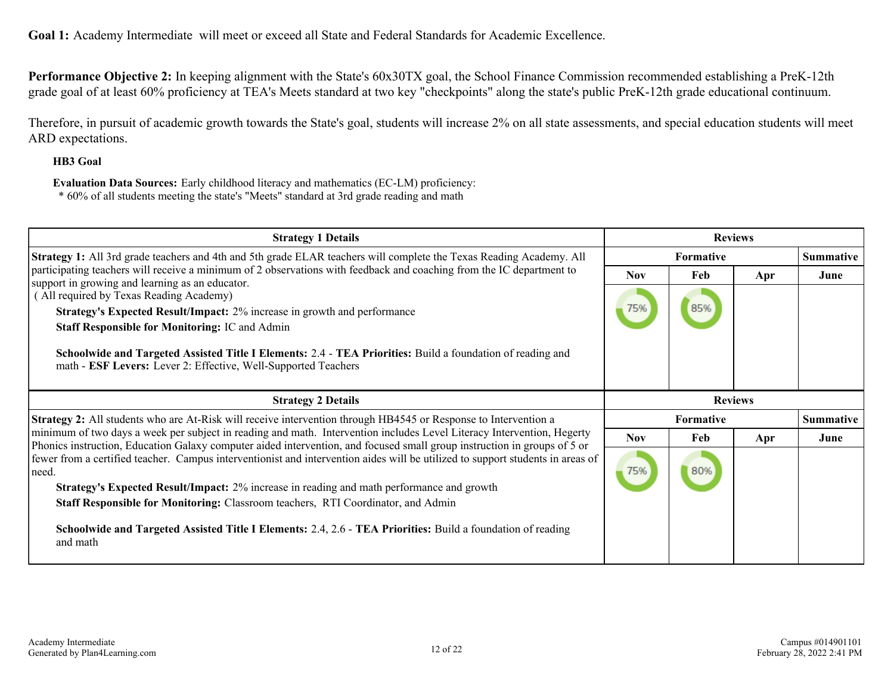**Goal 1:** Academy Intermediate will meet or exceed all State and Federal Standards for Academic Excellence.

**Performance Objective 2:** In keeping alignment with the State's 60x30TX goal, the School Finance Commission recommended establishing a PreK-12th grade goal of at least 60% proficiency at TEA's Meets standard at two key "checkpoints" along the state's public PreK-12th grade educational continuum.

Therefore, in pursuit of academic growth towards the State's goal, students will increase 2% on all state assessments, and special education students will meet ARD expectations.

#### **HB3 Goal**

**Evaluation Data Sources:** Early childhood literacy and mathematics (EC-LM) proficiency:

\* 60% of all students meeting the state's "Meets" standard at 3rd grade reading and math

| <b>Strategy 1 Details</b>                                                                                                                                                                                                                                                                                                                                                                                                                                             |            | <b>Reviews</b>                 |     |                  |  |
|-----------------------------------------------------------------------------------------------------------------------------------------------------------------------------------------------------------------------------------------------------------------------------------------------------------------------------------------------------------------------------------------------------------------------------------------------------------------------|------------|--------------------------------|-----|------------------|--|
| Strategy 1: All 3rd grade teachers and 4th and 5th grade ELAR teachers will complete the Texas Reading Academy. All                                                                                                                                                                                                                                                                                                                                                   |            | <b>Formative</b><br><b>Nov</b> |     | <b>Summative</b> |  |
| participating teachers will receive a minimum of 2 observations with feedback and coaching from the IC department to<br>support in growing and learning as an educator.<br>(All required by Texas Reading Academy)<br>Strategy's Expected Result/Impact: 2% increase in growth and performance<br><b>Staff Responsible for Monitoring: IC and Admin</b><br>Schoolwide and Targeted Assisted Title I Elements: 2.4 - TEA Priorities: Build a foundation of reading and |            | Feb<br>85%                     | Apr | June             |  |
| math - ESF Levers: Lever 2: Effective, Well-Supported Teachers<br><b>Strategy 2 Details</b><br><b>Strategy 2:</b> All students who are At-Risk will receive intervention through HB4545 or Response to Intervention a                                                                                                                                                                                                                                                 |            | <b>Reviews</b><br>Formative    |     | <b>Summative</b> |  |
| minimum of two days a week per subject in reading and math. Intervention includes Level Literacy Intervention, Hegerty<br>Phonics instruction, Education Galaxy computer aided intervention, and focused small group instruction in groups of 5 or                                                                                                                                                                                                                    | <b>Nov</b> | Feb                            | Apr | June             |  |
| fewer from a certified teacher. Campus interventionist and intervention aides will be utilized to support students in areas of<br>need.<br>Strategy's Expected Result/Impact: 2% increase in reading and math performance and growth<br>Staff Responsible for Monitoring: Classroom teachers, RTI Coordinator, and Admin<br>Schoolwide and Targeted Assisted Title I Elements: 2.4, 2.6 - TEA Priorities: Build a foundation of reading                               | 75%        | 80%                            |     |                  |  |
| and math                                                                                                                                                                                                                                                                                                                                                                                                                                                              |            |                                |     |                  |  |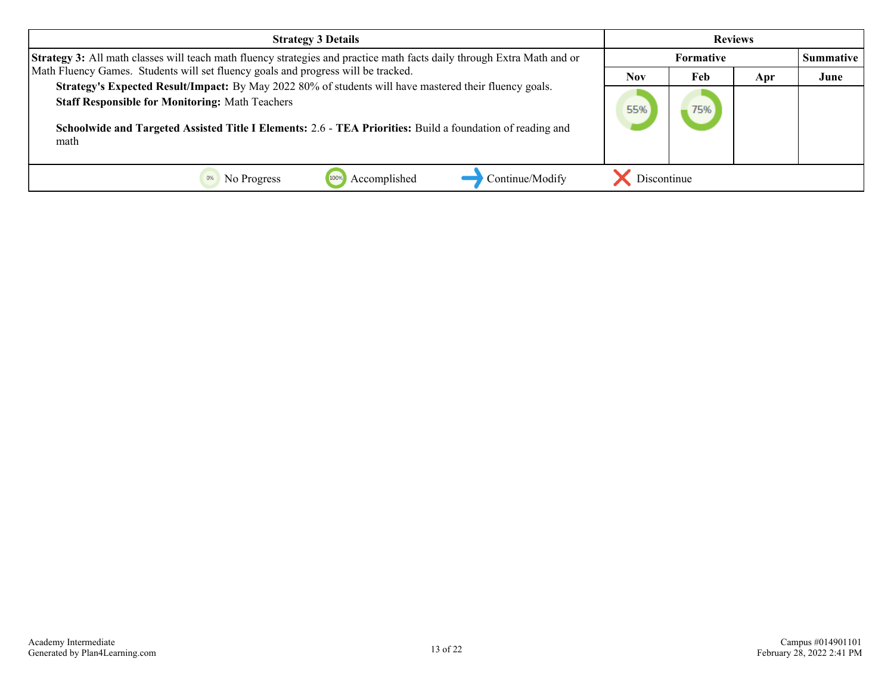| <b>Strategy 3 Details</b>                                                                                                                                                                                                                                                              |                  |     | <b>Reviews</b> |      |
|----------------------------------------------------------------------------------------------------------------------------------------------------------------------------------------------------------------------------------------------------------------------------------------|------------------|-----|----------------|------|
| Strategy 3: All math classes will teach math fluency strategies and practice math facts daily through Extra Math and or                                                                                                                                                                | <b>Formative</b> |     |                |      |
| Math Fluency Games. Students will set fluency goals and progress will be tracked.                                                                                                                                                                                                      |                  | Feb | Apr            | June |
| Strategy's Expected Result/Impact: By May 2022 80% of students will have mastered their fluency goals.<br><b>Staff Responsible for Monitoring: Math Teachers</b><br>Schoolwide and Targeted Assisted Title I Elements: 2.6 - TEA Priorities: Build a foundation of reading and<br>math |                  | 75% |                |      |
| Continue/Modify<br>Accomplished<br>No Progress                                                                                                                                                                                                                                         | Discontinue      |     |                |      |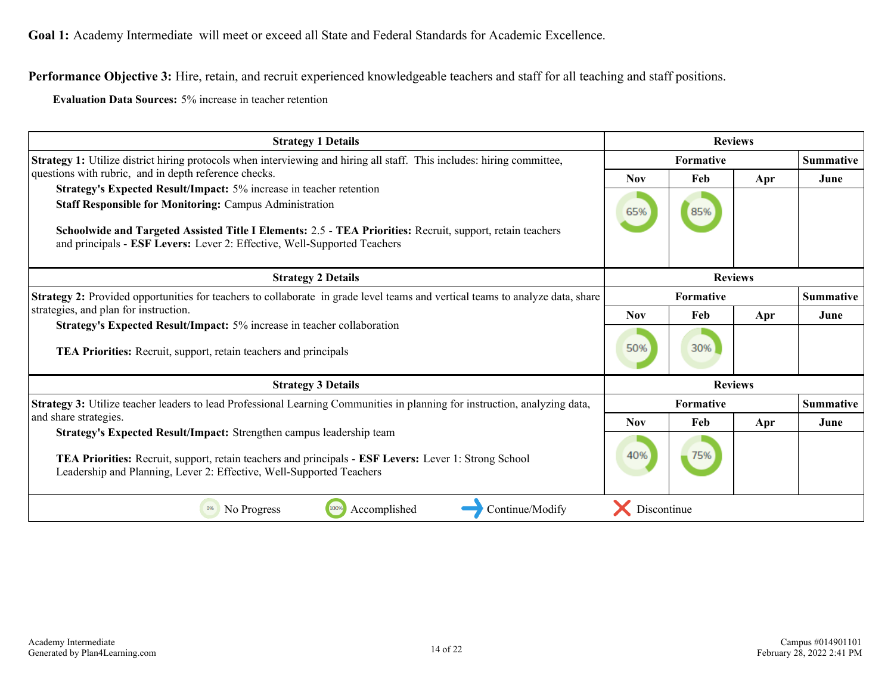**Performance Objective 3:** Hire, retain, and recruit experienced knowledgeable teachers and staff for all teaching and staff positions.

**Evaluation Data Sources:** 5% increase in teacher retention

| <b>Strategy 1 Details</b>                                                                                                                                                                                                                                                                                                       |                  | <b>Reviews</b> |     |                  |
|---------------------------------------------------------------------------------------------------------------------------------------------------------------------------------------------------------------------------------------------------------------------------------------------------------------------------------|------------------|----------------|-----|------------------|
| Strategy 1: Utilize district hiring protocols when interviewing and hiring all staff. This includes: hiring committee,                                                                                                                                                                                                          | <b>Formative</b> |                |     | <b>Summative</b> |
| questions with rubric, and in depth reference checks.                                                                                                                                                                                                                                                                           | <b>Nov</b>       | Feb            | Apr | June             |
| Strategy's Expected Result/Impact: 5% increase in teacher retention<br><b>Staff Responsible for Monitoring: Campus Administration</b><br>Schoolwide and Targeted Assisted Title I Elements: 2.5 - TEA Priorities: Recruit, support, retain teachers<br>and principals - ESF Levers: Lever 2: Effective, Well-Supported Teachers |                  | 85%            |     |                  |
| <b>Strategy 2 Details</b>                                                                                                                                                                                                                                                                                                       | <b>Reviews</b>   |                |     |                  |
| Strategy 2: Provided opportunities for teachers to collaborate in grade level teams and vertical teams to analyze data, share                                                                                                                                                                                                   | <b>Formative</b> |                |     | <b>Summative</b> |
| strategies, and plan for instruction.<br>Strategy's Expected Result/Impact: 5% increase in teacher collaboration<br>TEA Priorities: Recruit, support, retain teachers and principals                                                                                                                                            |                  | Feb            | Apr | June             |
|                                                                                                                                                                                                                                                                                                                                 |                  | 30%            |     |                  |
| <b>Strategy 3 Details</b>                                                                                                                                                                                                                                                                                                       |                  | <b>Reviews</b> |     |                  |
| Strategy 3: Utilize teacher leaders to lead Professional Learning Communities in planning for instruction, analyzing data,                                                                                                                                                                                                      |                  | Formative      |     | Summative        |
| and share strategies.                                                                                                                                                                                                                                                                                                           | Nov.             | Feb            | Apr | June             |
| Strategy's Expected Result/Impact: Strengthen campus leadership team<br>TEA Priorities: Recruit, support, retain teachers and principals - ESF Levers: Lever 1: Strong School<br>Leadership and Planning, Lever 2: Effective, Well-Supported Teachers                                                                           |                  | 75%            |     |                  |
| 100%<br>Accomplished<br>Continue/Modify<br>0%<br>No Progress                                                                                                                                                                                                                                                                    | Discontinue      |                |     |                  |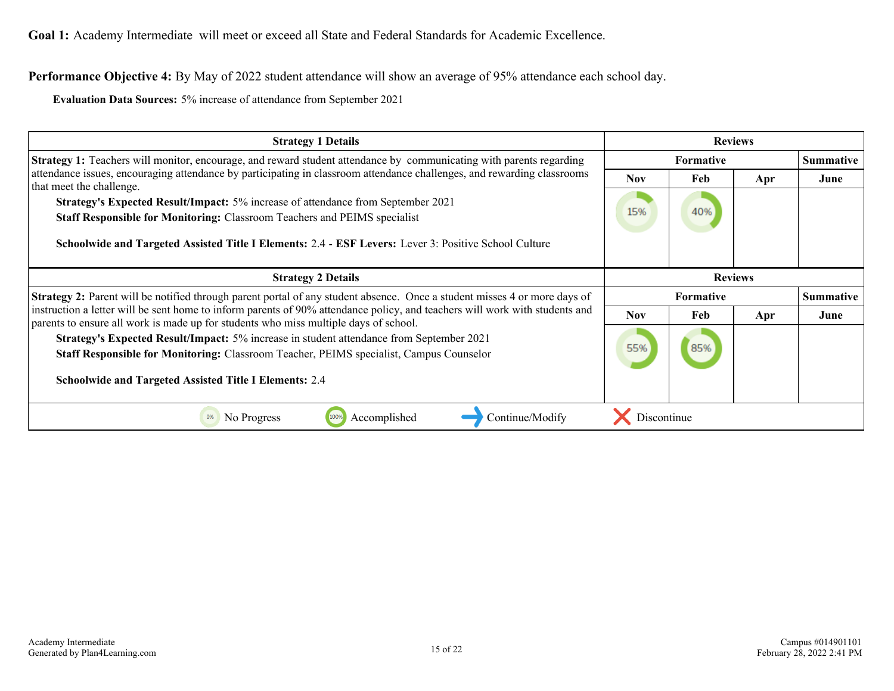**Goal 1:** Academy Intermediate will meet or exceed all State and Federal Standards for Academic Excellence.

**Performance Objective 4:** By May of 2022 student attendance will show an average of 95% attendance each school day.

**Evaluation Data Sources:** 5% increase of attendance from September 2021

| <b>Strategy 1 Details</b>                                                                                                                                                                                           |                  | <b>Reviews</b> |     |                  |
|---------------------------------------------------------------------------------------------------------------------------------------------------------------------------------------------------------------------|------------------|----------------|-----|------------------|
| <b>Strategy 1:</b> Teachers will monitor, encourage, and reward student attendance by communicating with parents regarding                                                                                          | Formative        |                |     | <b>Summative</b> |
| attendance issues, encouraging attendance by participating in classroom attendance challenges, and rewarding classrooms<br>that meet the challenge.                                                                 | <b>Nov</b>       | Feb            | Apr | June             |
| <b>Strategy's Expected Result/Impact:</b> 5% increase of attendance from September 2021                                                                                                                             | 15%              | 40%            |     |                  |
| <b>Staff Responsible for Monitoring: Classroom Teachers and PEIMS specialist</b>                                                                                                                                    |                  |                |     |                  |
| Schoolwide and Targeted Assisted Title I Elements: 2.4 - ESF Levers: Lever 3: Positive School Culture                                                                                                               |                  |                |     |                  |
| <b>Strategy 2 Details</b>                                                                                                                                                                                           |                  | <b>Reviews</b> |     |                  |
| <b>Strategy 2:</b> Parent will be notified through parent portal of any student absence. Once a student misses 4 or more days of                                                                                    | <b>Formative</b> |                |     | <b>Summative</b> |
| instruction a letter will be sent home to inform parents of 90% attendance policy, and teachers will work with students and<br>parents to ensure all work is made up for students who miss multiple days of school. | <b>Nov</b>       | Feb            | Apr | June             |
| Strategy's Expected Result/Impact: 5% increase in student attendance from September 2021                                                                                                                            |                  |                |     |                  |
| 55%<br>85%<br><b>Staff Responsible for Monitoring: Classroom Teacher, PEIMS specialist, Campus Counselor</b>                                                                                                        |                  |                |     |                  |
|                                                                                                                                                                                                                     |                  |                |     |                  |
| <b>Schoolwide and Targeted Assisted Title I Elements: 2.4</b>                                                                                                                                                       |                  |                |     |                  |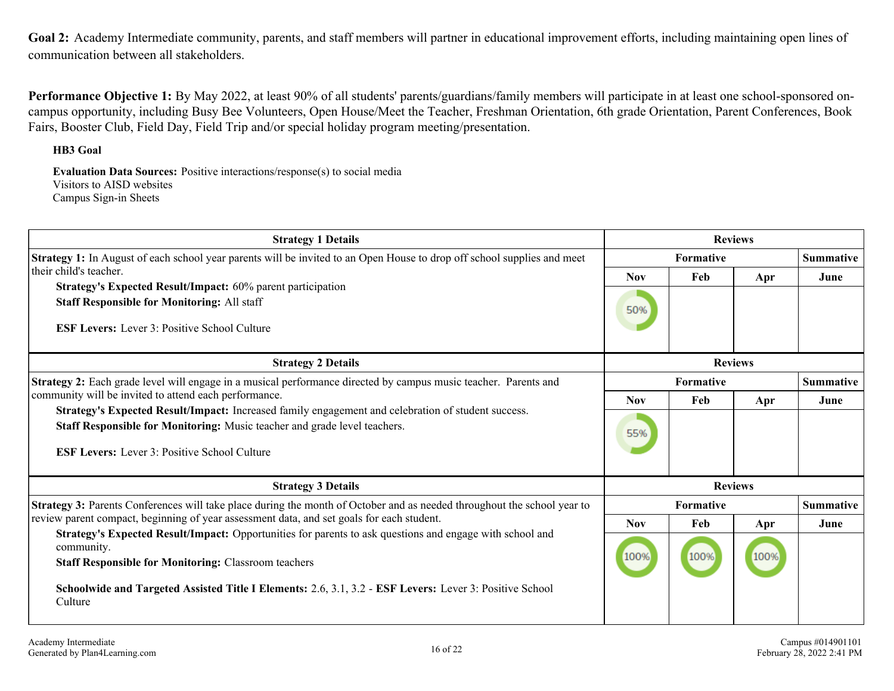<span id="page-15-0"></span>Goal 2: Academy Intermediate community, parents, and staff members will partner in educational improvement efforts, including maintaining open lines of communication between all stakeholders.

**Performance Objective 1:** By May 2022, at least 90% of all students' parents/guardians/family members will participate in at least one school-sponsored oncampus opportunity, including Busy Bee Volunteers, Open House/Meet the Teacher, Freshman Orientation, 6th grade Orientation, Parent Conferences, Book Fairs, Booster Club, Field Day, Field Trip and/or special holiday program meeting/presentation.

#### **HB3 Goal**

**Evaluation Data Sources:** Positive interactions/response(s) to social media Visitors to AISD websites Campus Sign-in Sheets

| <b>Strategy 1 Details</b>                                                                                                                                                                                                                                                                                   | <b>Reviews</b> |                  |      |                  |  |  |
|-------------------------------------------------------------------------------------------------------------------------------------------------------------------------------------------------------------------------------------------------------------------------------------------------------------|----------------|------------------|------|------------------|--|--|
| <b>Strategy 1:</b> In August of each school year parents will be invited to an Open House to drop off school supplies and meet                                                                                                                                                                              |                | <b>Formative</b> |      |                  |  |  |
| their child's teacher.<br><b>Strategy's Expected Result/Impact: 60% parent participation</b><br><b>Staff Responsible for Monitoring: All staff</b><br><b>ESF Levers:</b> Lever 3: Positive School Culture                                                                                                   |                | Feb              | Apr  | June             |  |  |
| <b>Strategy 2 Details</b>                                                                                                                                                                                                                                                                                   | <b>Reviews</b> |                  |      |                  |  |  |
| <b>Strategy 2:</b> Each grade level will engage in a musical performance directed by campus music teacher. Parents and                                                                                                                                                                                      | Formative      |                  |      | <b>Summative</b> |  |  |
| community will be invited to attend each performance.                                                                                                                                                                                                                                                       |                | Feb              | Apr  | June             |  |  |
| Strategy's Expected Result/Impact: Increased family engagement and celebration of student success.<br>Staff Responsible for Monitoring: Music teacher and grade level teachers.<br><b>ESF Levers:</b> Lever 3: Positive School Culture                                                                      | 55%            |                  |      |                  |  |  |
| <b>Strategy 3 Details</b>                                                                                                                                                                                                                                                                                   | <b>Reviews</b> |                  |      |                  |  |  |
| Strategy 3: Parents Conferences will take place during the month of October and as needed throughout the school year to                                                                                                                                                                                     |                | <b>Formative</b> |      | <b>Summative</b> |  |  |
| review parent compact, beginning of year assessment data, and set goals for each student.                                                                                                                                                                                                                   | <b>Nov</b>     | Feb              | Apr  | June             |  |  |
| Strategy's Expected Result/Impact: Opportunities for parents to ask questions and engage with school and<br>community.<br><b>Staff Responsible for Monitoring: Classroom teachers</b><br>Schoolwide and Targeted Assisted Title I Elements: 2.6, 3.1, 3.2 - ESF Levers: Lever 3: Positive School<br>Culture | 100%           | 100%             | 100% |                  |  |  |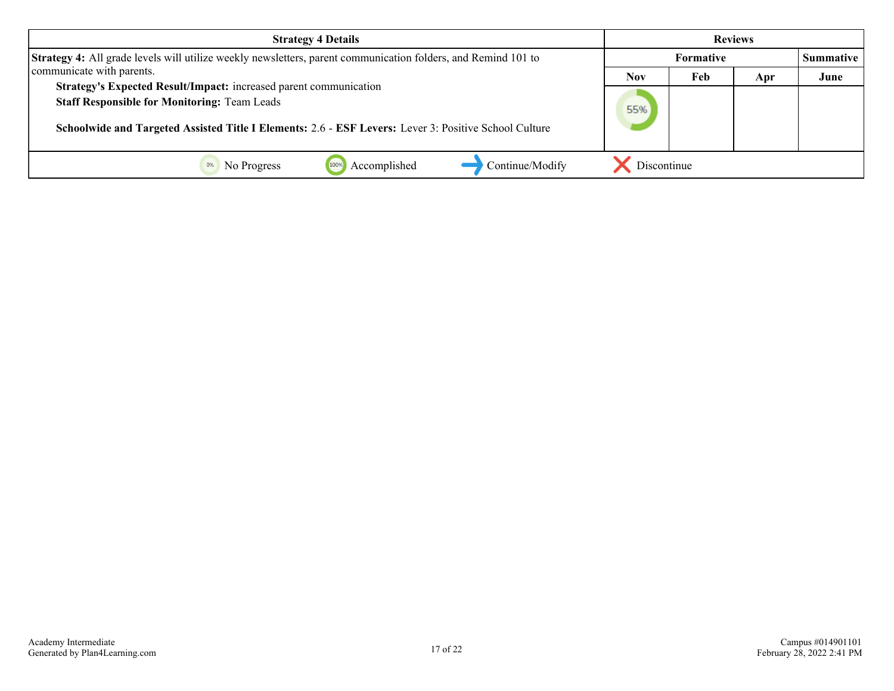| <b>Strategy 4 Details</b>                                                                                                                                                                                                         |                  |     | <b>Reviews</b> |                  |
|-----------------------------------------------------------------------------------------------------------------------------------------------------------------------------------------------------------------------------------|------------------|-----|----------------|------------------|
| <b>Strategy 4:</b> All grade levels will utilize weekly newsletters, parent communication folders, and Remind 101 to                                                                                                              | <b>Formative</b> |     |                | <b>Summative</b> |
| communicate with parents.                                                                                                                                                                                                         | Nov              | Feb | Apr            | June             |
| Strategy's Expected Result/Impact: increased parent communication<br><b>Staff Responsible for Monitoring: Team Leads</b><br>Schoolwide and Targeted Assisted Title I Elements: 2.6 - ESF Levers: Lever 3: Positive School Culture |                  |     |                |                  |
| Continue/Modify<br>Accomplished<br>No Progress                                                                                                                                                                                    | Discontinue      |     |                |                  |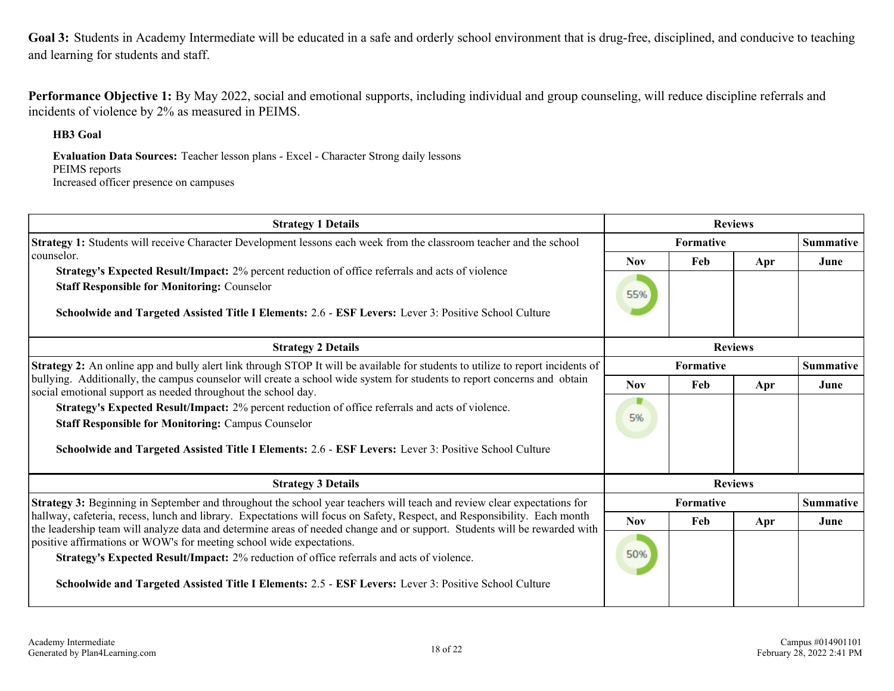<span id="page-17-0"></span>**Goal 3:** Students in Academy Intermediate will be educated in a safe and orderly school environment that is drug-free, disciplined, and conducive to teaching and learning for students and staff.

**Performance Objective 1:** By May 2022, social and emotional supports, including individual and group counseling, will reduce discipline referrals and incidents of violence by 2% as measured in PEIMS.

**HB3 Goal**

**Evaluation Data Sources:** Teacher lesson plans - Excel - Character Strong daily lessons PEIMS reports Increased officer presence on campuses

| <b>Strategy 1 Details</b>                                                                                                                                                                                                                                                                                                                                                                                      |                  |                  | <b>Reviews</b> |                  |
|----------------------------------------------------------------------------------------------------------------------------------------------------------------------------------------------------------------------------------------------------------------------------------------------------------------------------------------------------------------------------------------------------------------|------------------|------------------|----------------|------------------|
| Strategy 1: Students will receive Character Development lessons each week from the classroom teacher and the school                                                                                                                                                                                                                                                                                            |                  | <b>Formative</b> |                |                  |
| counselor.                                                                                                                                                                                                                                                                                                                                                                                                     | <b>Nov</b>       | Feb              | Apr            | June             |
| <b>Strategy's Expected Result/Impact:</b> 2% percent reduction of office referrals and acts of violence<br><b>Staff Responsible for Monitoring: Counselor</b><br>Schoolwide and Targeted Assisted Title I Elements: 2.6 - ESF Levers: Lever 3: Positive School Culture                                                                                                                                         |                  |                  |                |                  |
| <b>Strategy 2 Details</b>                                                                                                                                                                                                                                                                                                                                                                                      | <b>Reviews</b>   |                  |                |                  |
| Strategy 2: An online app and bully alert link through STOP It will be available for students to utilize to report incidents of                                                                                                                                                                                                                                                                                | <b>Formative</b> |                  |                | <b>Summative</b> |
| bullying. Additionally, the campus counselor will create a school wide system for students to report concerns and obtain<br>social emotional support as needed throughout the school day.<br>Strategy's Expected Result/Impact: 2% percent reduction of office referrals and acts of violence.<br><b>Staff Responsible for Monitoring: Campus Counselor</b>                                                    |                  | Feb              | Apr            | June             |
|                                                                                                                                                                                                                                                                                                                                                                                                                |                  |                  |                |                  |
| Schoolwide and Targeted Assisted Title I Elements: 2.6 - ESF Levers: Lever 3: Positive School Culture                                                                                                                                                                                                                                                                                                          |                  |                  |                |                  |
| <b>Strategy 3 Details</b>                                                                                                                                                                                                                                                                                                                                                                                      |                  |                  | <b>Reviews</b> |                  |
| Strategy 3: Beginning in September and throughout the school year teachers will teach and review clear expectations for                                                                                                                                                                                                                                                                                        |                  | <b>Formative</b> |                | <b>Summative</b> |
| hallway, cafeteria, recess, lunch and library. Expectations will focus on Safety, Respect, and Responsibility. Each month                                                                                                                                                                                                                                                                                      | <b>Nov</b>       | Feb              | Apr            | June             |
| the leadership team will analyze data and determine areas of needed change and or support. Students will be rewarded with<br>positive affirmations or WOW's for meeting school wide expectations.<br>50%<br>Strategy's Expected Result/Impact: 2% reduction of office referrals and acts of violence.<br>Schoolwide and Targeted Assisted Title I Elements: 2.5 - ESF Levers: Lever 3: Positive School Culture |                  |                  |                |                  |
|                                                                                                                                                                                                                                                                                                                                                                                                                |                  |                  |                |                  |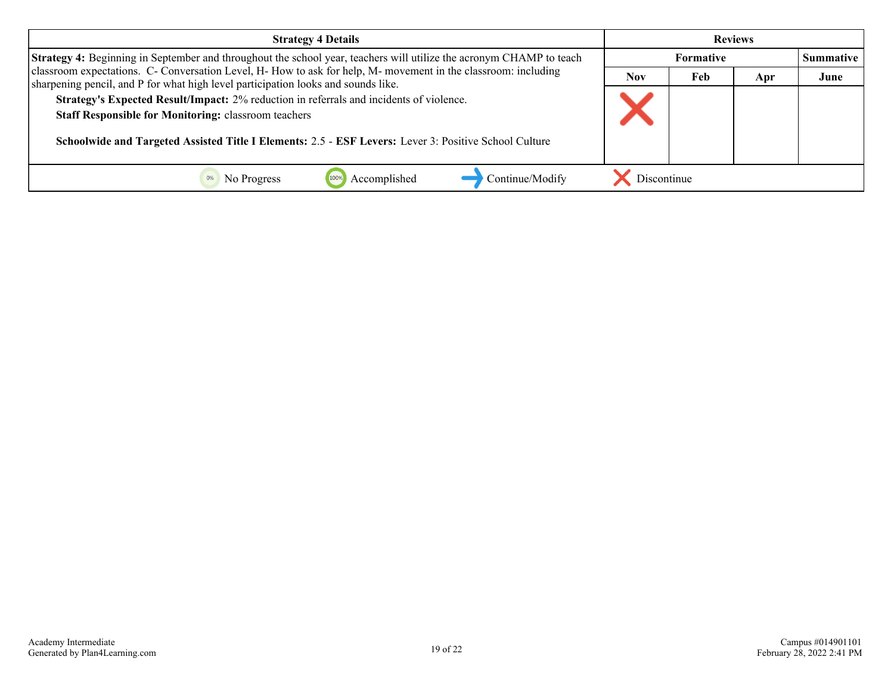| <b>Strategy 4 Details</b>                                                                                                                                                                                                                                                                                                                            | <b>Reviews</b>   |     |     |                  |
|------------------------------------------------------------------------------------------------------------------------------------------------------------------------------------------------------------------------------------------------------------------------------------------------------------------------------------------------------|------------------|-----|-----|------------------|
| Strategy 4: Beginning in September and throughout the school year, teachers will utilize the acronym CHAMP to teach                                                                                                                                                                                                                                  | <b>Formative</b> |     |     | <b>Summative</b> |
| classroom expectations. C- Conversation Level, H- How to ask for help, M- movement in the classroom: including                                                                                                                                                                                                                                       |                  | Feb | Apr | June             |
| sharpening pencil, and P for what high level participation looks and sounds like.<br>Strategy's Expected Result/Impact: 2% reduction in referrals and incidents of violence.<br><b>Staff Responsible for Monitoring: classroom teachers</b><br>Schoolwide and Targeted Assisted Title I Elements: 2.5 - ESF Levers: Lever 3: Positive School Culture |                  |     |     |                  |
| Continue/Modify<br>Accomplished<br>No Progress                                                                                                                                                                                                                                                                                                       | Discontinue      |     |     |                  |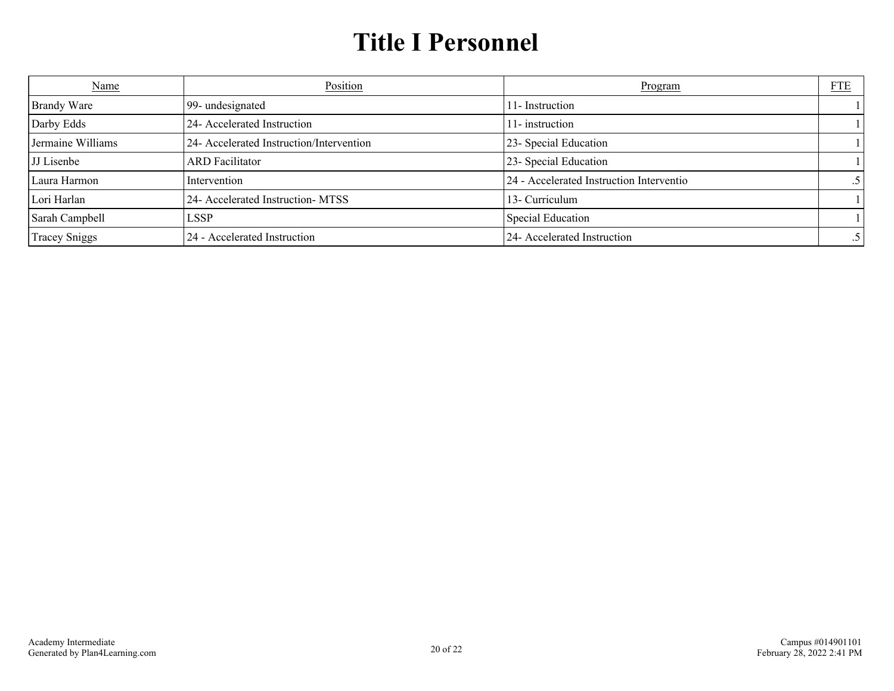# **Title I Personnel**

<span id="page-19-0"></span>

| <b>Name</b>          | Position                                 | Program                                  | ${\underline{\rm FTE}}$ |
|----------------------|------------------------------------------|------------------------------------------|-------------------------|
| <b>Brandy Ware</b>   | 99- undesignated                         | 11-Instruction                           |                         |
| Darby Edds           | 24- Accelerated Instruction              | 11-instruction                           |                         |
| Jermaine Williams    | 24- Accelerated Instruction/Intervention | 23- Special Education                    |                         |
| <b>JJ</b> Lisenbe    | <b>ARD</b> Facilitator                   | 23- Special Education                    |                         |
| Laura Harmon         | Intervention                             | 24 - Accelerated Instruction Interventio |                         |
| Lori Harlan          | 24- Accelerated Instruction-MTSS         | 13- Curriculum                           |                         |
| Sarah Campbell       | LSSP                                     | <b>Special Education</b>                 |                         |
| <b>Tracey Sniggs</b> | 24 - Accelerated Instruction             | 24- Accelerated Instruction              |                         |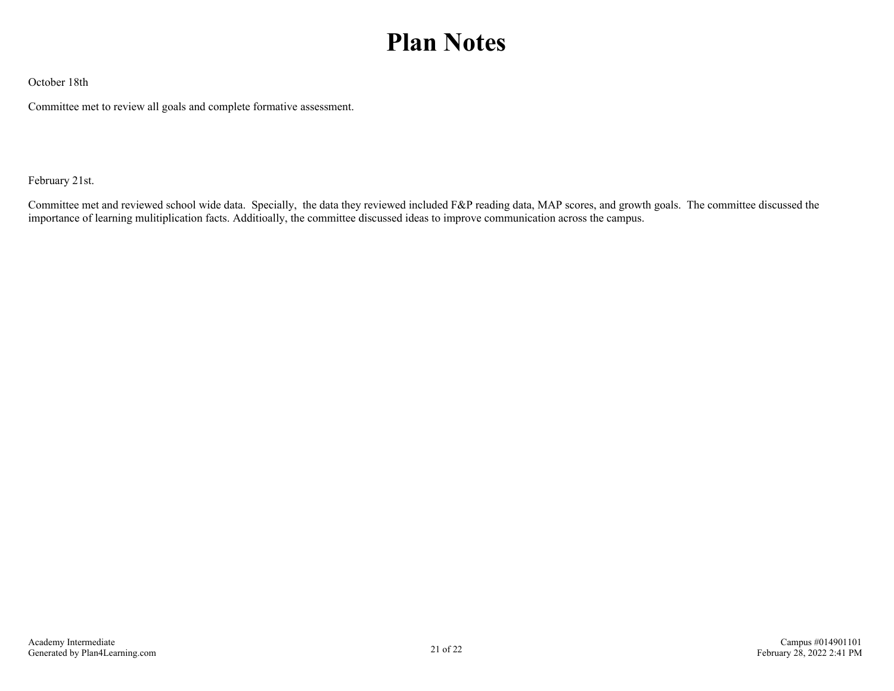# **Plan Notes**

<span id="page-20-0"></span>October 18th

Committee met to review all goals and complete formative assessment.

February 21st.

Committee met and reviewed school wide data. Specially, the data they reviewed included F&P reading data, MAP scores, and growth goals. The committee discussed the importance of learning mulitiplication facts. Additioally, the committee discussed ideas to improve communication across the campus.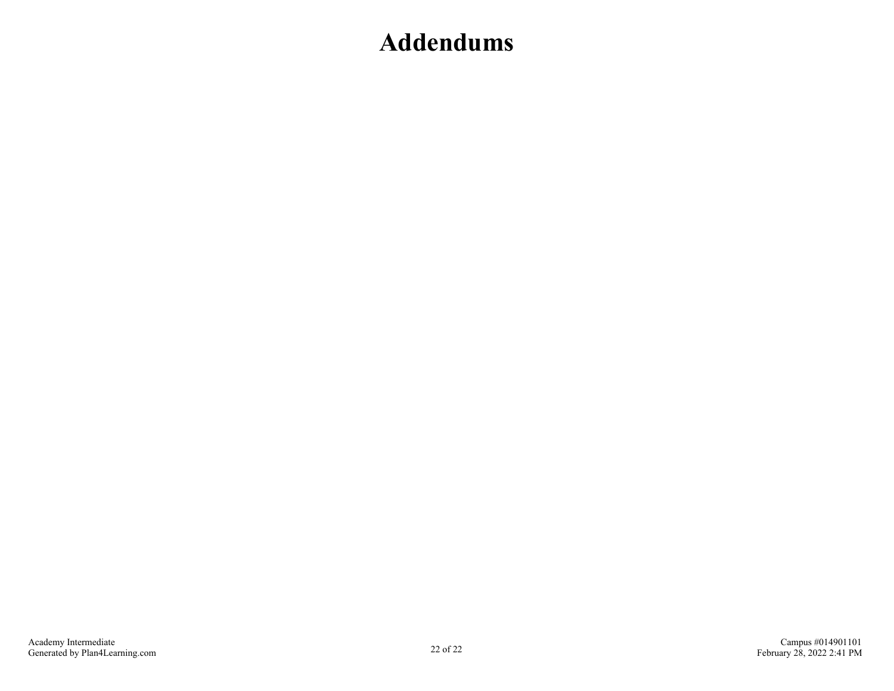### <span id="page-21-0"></span>**Addendums**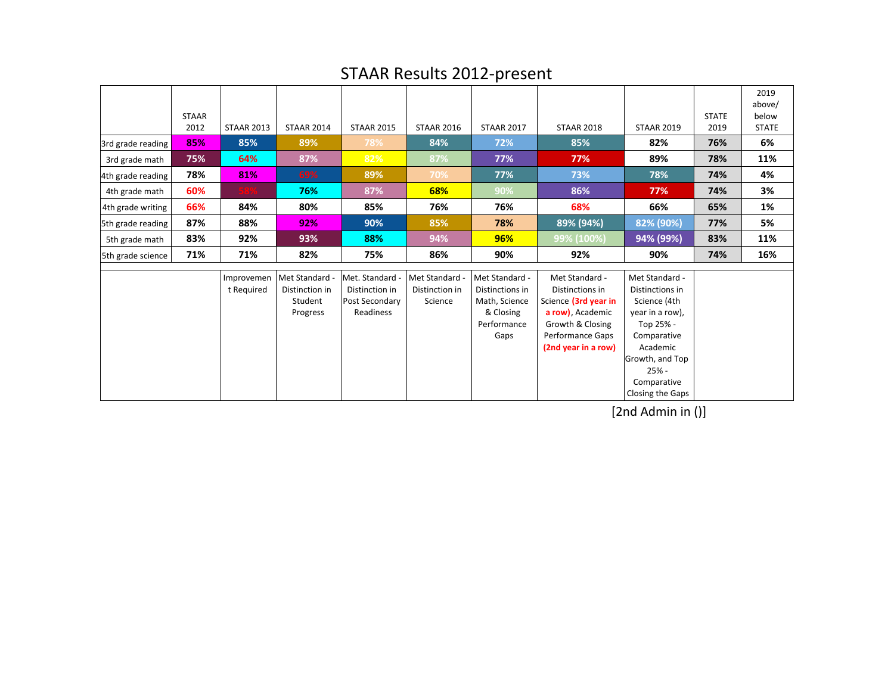|                   | <b>STAAR</b><br>2012 | <b>STAAR 2013</b>        | <b>STAAR 2014</b>                                     | <b>STAAR 2015</b>                                              | <b>STAAR 2016</b>                         | <b>STAAR 2017</b>                                                                      | <b>STAAR 2018</b>                                                                                                                                   | <b>STAAR 2019</b>                                                                                                                                                             | <b>STATE</b><br>2019 | 2019<br>above/<br>below<br><b>STATE</b> |
|-------------------|----------------------|--------------------------|-------------------------------------------------------|----------------------------------------------------------------|-------------------------------------------|----------------------------------------------------------------------------------------|-----------------------------------------------------------------------------------------------------------------------------------------------------|-------------------------------------------------------------------------------------------------------------------------------------------------------------------------------|----------------------|-----------------------------------------|
| 3rd grade reading | 85%                  | 85%                      | 89%                                                   | 78%                                                            | 84%                                       | 72%                                                                                    | 85%                                                                                                                                                 | 82%                                                                                                                                                                           | 76%                  | 6%                                      |
| 3rd grade math    | 75%                  | 64%                      | 87%                                                   | 82%                                                            | 87%                                       | 77%                                                                                    | 77%                                                                                                                                                 | 89%                                                                                                                                                                           | 78%                  | 11%                                     |
| 4th grade reading | 78%                  | 81%                      | 69%                                                   | 89%                                                            | 70%                                       | 77%                                                                                    | 73%                                                                                                                                                 | 78%                                                                                                                                                                           | 74%                  | 4%                                      |
| 4th grade math    | 60%                  |                          | 76%                                                   | 87%                                                            | 68%                                       | 90%                                                                                    | 86%                                                                                                                                                 | 77%                                                                                                                                                                           | 74%                  | 3%                                      |
| 4th grade writing | 66%                  | 84%                      | 80%                                                   | 85%                                                            | 76%                                       | 76%                                                                                    | 68%                                                                                                                                                 | 66%                                                                                                                                                                           | 65%                  | 1%                                      |
| 5th grade reading | 87%                  | 88%                      | 92%                                                   | 90%                                                            | 85%                                       | 78%                                                                                    | 89% (94%)                                                                                                                                           | 82% (90%)                                                                                                                                                                     | 77%                  | 5%                                      |
| 5th grade math    | 83%                  | 92%                      | 93%                                                   | 88%                                                            | 94%                                       | 96%                                                                                    | 99% (100%)                                                                                                                                          | 94% (99%)                                                                                                                                                                     | 83%                  | 11%                                     |
| 5th grade science | 71%                  | 71%                      | 82%                                                   | 75%                                                            | 86%                                       | 90%                                                                                    | 92%                                                                                                                                                 | 90%                                                                                                                                                                           | 74%                  | 16%                                     |
|                   |                      | Improvemen<br>t Required | Met Standard<br>Distinction in<br>Student<br>Progress | Met. Standard<br>Distinction in<br>Post Secondary<br>Readiness | Met Standard<br>Distinction in<br>Science | Met Standard -<br>Distinctions in<br>Math, Science<br>& Closing<br>Performance<br>Gaps | Met Standard -<br>Distinctions in<br>Science (3rd year in<br>a row), Academic<br>Growth & Closing<br><b>Performance Gaps</b><br>(2nd year in a row) | Met Standard -<br>Distinctions in<br>Science (4th<br>year in a row),<br>Top 25% -<br>Comparative<br>Academic<br>Growth, and Top<br>$25% -$<br>Comparative<br>Closing the Gaps |                      |                                         |

### STAAR Results 2012-present

[2nd Admin in ()]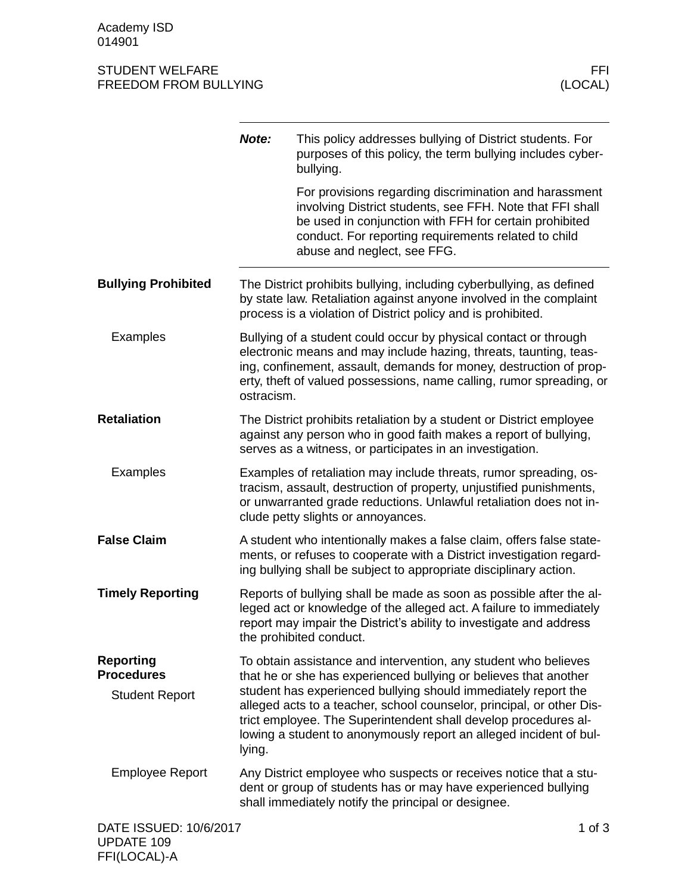#### STUDENT WELFARE FFINDENT WELFARE FREEDOM FROM BULLYING AND THE SERVICE OF THE SERVICE OF THE SERVICE OF THE SE FREEDOM FROM BULLYING

|                                                                | Note:      | This policy addresses bullying of District students. For<br>purposes of this policy, the term bullying includes cyber-<br>bullying.                                                                                                                                                                                                                                                                                     |            |
|----------------------------------------------------------------|------------|-------------------------------------------------------------------------------------------------------------------------------------------------------------------------------------------------------------------------------------------------------------------------------------------------------------------------------------------------------------------------------------------------------------------------|------------|
|                                                                |            | For provisions regarding discrimination and harassment<br>involving District students, see FFH. Note that FFI shall<br>be used in conjunction with FFH for certain prohibited<br>conduct. For reporting requirements related to child<br>abuse and neglect, see FFG.                                                                                                                                                    |            |
| <b>Bullying Prohibited</b>                                     |            | The District prohibits bullying, including cyberbullying, as defined<br>by state law. Retaliation against anyone involved in the complaint<br>process is a violation of District policy and is prohibited.                                                                                                                                                                                                              |            |
| <b>Examples</b>                                                | ostracism. | Bullying of a student could occur by physical contact or through<br>electronic means and may include hazing, threats, taunting, teas-<br>ing, confinement, assault, demands for money, destruction of prop-<br>erty, theft of valued possessions, name calling, rumor spreading, or                                                                                                                                     |            |
| <b>Retaliation</b>                                             |            | The District prohibits retaliation by a student or District employee<br>against any person who in good faith makes a report of bullying,<br>serves as a witness, or participates in an investigation.                                                                                                                                                                                                                   |            |
| <b>Examples</b>                                                |            | Examples of retaliation may include threats, rumor spreading, os-<br>tracism, assault, destruction of property, unjustified punishments,<br>or unwarranted grade reductions. Unlawful retaliation does not in-<br>clude petty slights or annoyances.                                                                                                                                                                    |            |
| <b>False Claim</b>                                             |            | A student who intentionally makes a false claim, offers false state-<br>ments, or refuses to cooperate with a District investigation regard-<br>ing bullying shall be subject to appropriate disciplinary action.                                                                                                                                                                                                       |            |
| <b>Timely Reporting</b>                                        |            | Reports of bullying shall be made as soon as possible after the al-<br>leged act or knowledge of the alleged act. A failure to immediately<br>report may impair the District's ability to investigate and address<br>the prohibited conduct.                                                                                                                                                                            |            |
| <b>Reporting</b><br><b>Procedures</b><br><b>Student Report</b> | lying.     | To obtain assistance and intervention, any student who believes<br>that he or she has experienced bullying or believes that another<br>student has experienced bullying should immediately report the<br>alleged acts to a teacher, school counselor, principal, or other Dis-<br>trict employee. The Superintendent shall develop procedures al-<br>lowing a student to anonymously report an alleged incident of bul- |            |
| <b>Employee Report</b>                                         |            | Any District employee who suspects or receives notice that a stu-<br>dent or group of students has or may have experienced bullying<br>shall immediately notify the principal or designee.                                                                                                                                                                                                                              |            |
| DATE ISSUED: 10/6/2017                                         |            |                                                                                                                                                                                                                                                                                                                                                                                                                         | $1$ of $3$ |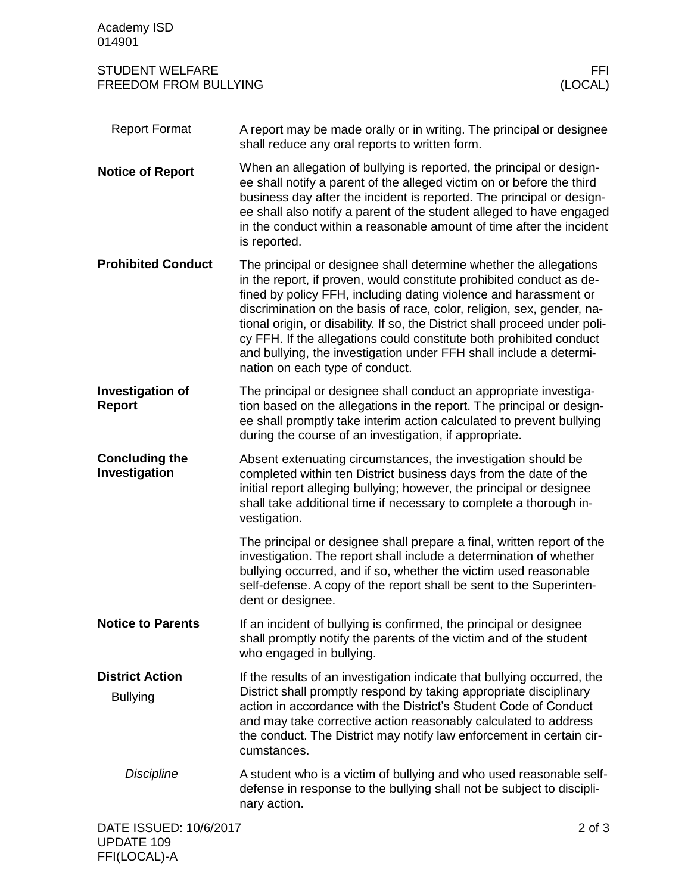| Academy ISD<br>014901                                  |                                                                                                                                                                                                                                                                                                                                                                                                                                                                                                                                                        |  |
|--------------------------------------------------------|--------------------------------------------------------------------------------------------------------------------------------------------------------------------------------------------------------------------------------------------------------------------------------------------------------------------------------------------------------------------------------------------------------------------------------------------------------------------------------------------------------------------------------------------------------|--|
| <b>STUDENT WELFARE</b><br><b>FREEDOM FROM BULLYING</b> | FFI.<br>(LOCAL)                                                                                                                                                                                                                                                                                                                                                                                                                                                                                                                                        |  |
| <b>Report Format</b>                                   | A report may be made orally or in writing. The principal or designee<br>shall reduce any oral reports to written form.                                                                                                                                                                                                                                                                                                                                                                                                                                 |  |
| <b>Notice of Report</b>                                | When an allegation of bullying is reported, the principal or design-<br>ee shall notify a parent of the alleged victim on or before the third<br>business day after the incident is reported. The principal or design-<br>ee shall also notify a parent of the student alleged to have engaged<br>in the conduct within a reasonable amount of time after the incident<br>is reported.                                                                                                                                                                 |  |
| <b>Prohibited Conduct</b>                              | The principal or designee shall determine whether the allegations<br>in the report, if proven, would constitute prohibited conduct as de-<br>fined by policy FFH, including dating violence and harassment or<br>discrimination on the basis of race, color, religion, sex, gender, na-<br>tional origin, or disability. If so, the District shall proceed under poli-<br>cy FFH. If the allegations could constitute both prohibited conduct<br>and bullying, the investigation under FFH shall include a determi-<br>nation on each type of conduct. |  |
| <b>Investigation of</b><br><b>Report</b>               | The principal or designee shall conduct an appropriate investiga-<br>tion based on the allegations in the report. The principal or design-<br>ee shall promptly take interim action calculated to prevent bullying<br>during the course of an investigation, if appropriate.                                                                                                                                                                                                                                                                           |  |
| <b>Concluding the</b><br>Investigation                 | Absent extenuating circumstances, the investigation should be<br>completed within ten District business days from the date of the<br>initial report alleging bullying; however, the principal or designee<br>shall take additional time if necessary to complete a thorough in-<br>vestigation.                                                                                                                                                                                                                                                        |  |
|                                                        | The principal or designee shall prepare a final, written report of the<br>investigation. The report shall include a determination of whether<br>bullying occurred, and if so, whether the victim used reasonable<br>self-defense. A copy of the report shall be sent to the Superinten-<br>dent or designee.                                                                                                                                                                                                                                           |  |
| <b>Notice to Parents</b>                               | If an incident of bullying is confirmed, the principal or designee<br>shall promptly notify the parents of the victim and of the student<br>who engaged in bullying.                                                                                                                                                                                                                                                                                                                                                                                   |  |
| <b>District Action</b><br><b>Bullying</b>              | If the results of an investigation indicate that bullying occurred, the<br>District shall promptly respond by taking appropriate disciplinary<br>action in accordance with the District's Student Code of Conduct<br>and may take corrective action reasonably calculated to address<br>the conduct. The District may notify law enforcement in certain cir-<br>cumstances.                                                                                                                                                                            |  |
| <b>Discipline</b>                                      | A student who is a victim of bullying and who used reasonable self-<br>defense in response to the bullying shall not be subject to discipli-<br>nary action.                                                                                                                                                                                                                                                                                                                                                                                           |  |
| DATE ISSUED: 10/6/2017                                 | $2$ of $3$                                                                                                                                                                                                                                                                                                                                                                                                                                                                                                                                             |  |

UPDATE 109 FFI(LOCAL)-A